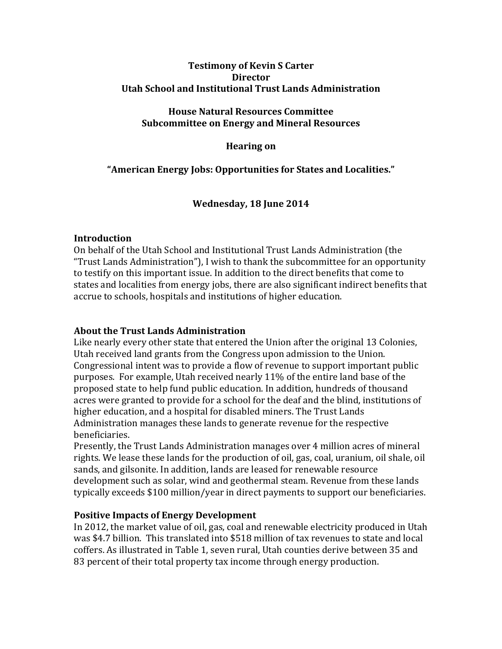## **Testimony of Kevin S Carter Director Utah School and Institutional Trust Lands Administration**

#### **House Natural Resources Committee Subcommittee on Energy and Mineral Resources**

### **Hearing** on

# "American Energy Jobs: Opportunities for States and Localities."

## Wednesday, 18 June 2014

## **Introduction**

On behalf of the Utah School and Institutional Trust Lands Administration (the "Trust Lands Administration"), I wish to thank the subcommittee for an opportunity to testify on this important issue. In addition to the direct benefits that come to states and localities from energy jobs, there are also significant indirect benefits that accrue to schools, hospitals and institutions of higher education.

#### **About the Trust Lands Administration**

Like nearly every other state that entered the Union after the original 13 Colonies, Utah received land grants from the Congress upon admission to the Union. Congressional intent was to provide a flow of revenue to support important public purposes. For example, Utah received nearly 11% of the entire land base of the proposed state to help fund public education. In addition, hundreds of thousand acres were granted to provide for a school for the deaf and the blind, institutions of higher education, and a hospital for disabled miners. The Trust Lands Administration manages these lands to generate revenue for the respective beneficiaries. 

Presently, the Trust Lands Administration manages over 4 million acres of mineral rights. We lease these lands for the production of oil, gas, coal, uranium, oil shale, oil sands, and gilsonite. In addition, lands are leased for renewable resource development such as solar, wind and geothermal steam. Revenue from these lands typically exceeds \$100 million/year in direct payments to support our beneficiaries.

## **Positive Impacts of Energy Development**

In 2012, the market value of oil, gas, coal and renewable electricity produced in Utah was \$4.7 billion. This translated into \$518 million of tax revenues to state and local coffers. As illustrated in Table 1, seven rural, Utah counties derive between 35 and 83 percent of their total property tax income through energy production.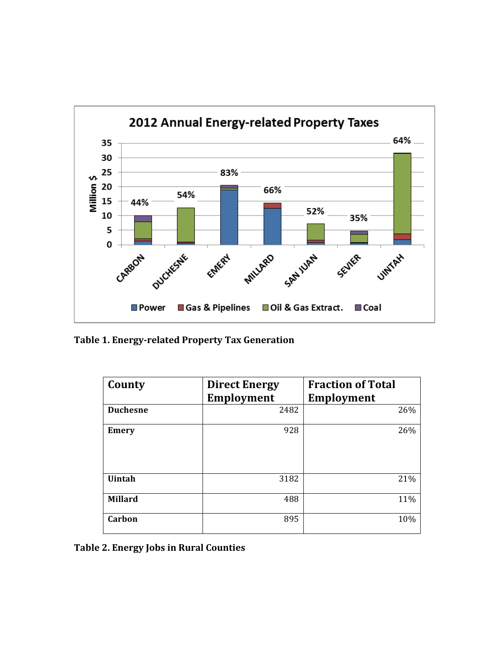

**Table 1. Energy-related Property Tax Generation**

| County          | <b>Direct Energy</b> | <b>Fraction of Total</b> |
|-----------------|----------------------|--------------------------|
|                 | <b>Employment</b>    | <b>Employment</b>        |
| <b>Duchesne</b> | 2482                 | 26%                      |
| <b>Emery</b>    | 928                  | 26%                      |
| <b>Uintah</b>   | 3182                 | 21%                      |
| <b>Millard</b>  | 488                  | 11%                      |
| Carbon          | 895                  | 10%                      |

**Table 2. Energy Jobs in Rural Counties**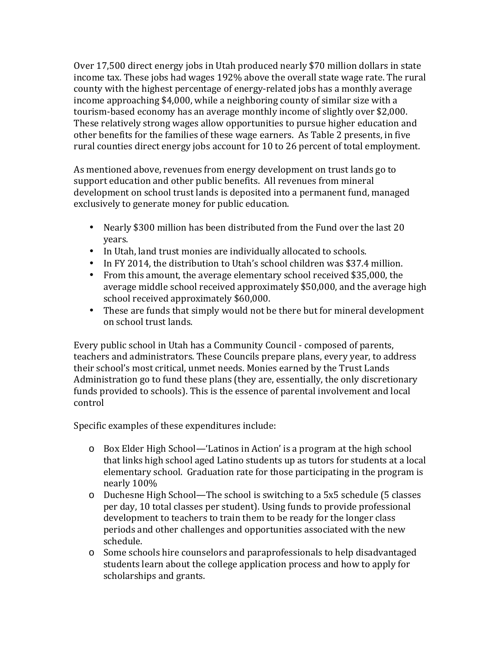Over 17,500 direct energy jobs in Utah produced nearly \$70 million dollars in state income tax. These jobs had wages 192% above the overall state wage rate. The rural county with the highest percentage of energy-related jobs has a monthly average income approaching  $$4,000$ , while a neighboring county of similar size with a tourism-based economy has an average monthly income of slightly over \$2,000. These relatively strong wages allow opportunities to pursue higher education and other benefits for the families of these wage earners. As Table 2 presents, in five rural counties direct energy jobs account for 10 to 26 percent of total employment.

As mentioned above, revenues from energy development on trust lands go to support education and other public benefits. All revenues from mineral development on school trust lands is deposited into a permanent fund, managed exclusively to generate money for public education.

- Nearly \$300 million has been distributed from the Fund over the last 20 years.
- In Utah, land trust monies are individually allocated to schools.
- In FY 2014, the distribution to Utah's school children was \$37.4 million.
- From this amount, the average elementary school received \$35,000, the average middle school received approximately \$50,000, and the average high school received approximately \$60,000.
- These are funds that simply would not be there but for mineral development on school trust lands.

Every public school in Utah has a Community Council - composed of parents, teachers and administrators. These Councils prepare plans, every year, to address their school's most critical, unmet needs. Monies earned by the Trust Lands Administration go to fund these plans (they are, essentially, the only discretionary funds provided to schools). This is the essence of parental involvement and local control

Specific examples of these expenditures include:

- o Box Elder High School—'Latinos in Action' is a program at the high school that links high school aged Latino students up as tutors for students at a local elementary school. Graduation rate for those participating in the program is nearly 100%
- $\circ$  Duchesne High School—The school is switching to a 5x5 schedule (5 classes per day, 10 total classes per student). Using funds to provide professional development to teachers to train them to be ready for the longer class periods and other challenges and opportunities associated with the new schedule.
- o Some schools hire counselors and paraprofessionals to help disadvantaged students learn about the college application process and how to apply for scholarships and grants.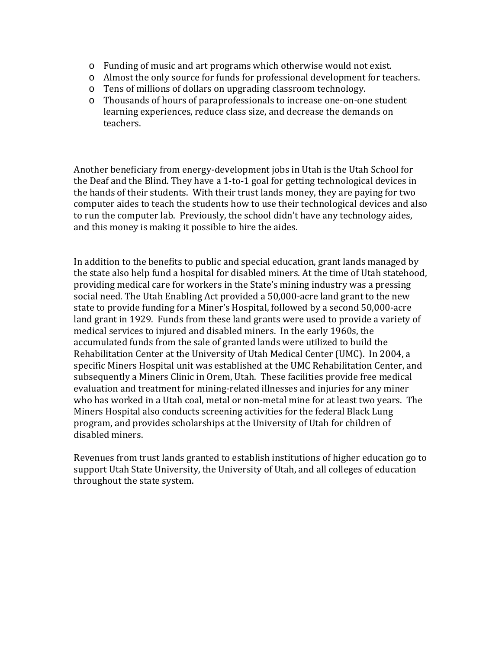- $\circ$  Funding of music and art programs which otherwise would not exist.
- o Almost the only source for funds for professional development for teachers.
- $\circ$  Tens of millions of dollars on upgrading classroom technology.
- $\circ$  Thousands of hours of paraprofessionals to increase one-on-one student learning experiences, reduce class size, and decrease the demands on teachers.

Another beneficiary from energy-development jobs in Utah is the Utah School for the Deaf and the Blind. They have a 1-to-1 goal for getting technological devices in the hands of their students. With their trust lands money, they are paying for two computer aides to teach the students how to use their technological devices and also to run the computer lab. Previously, the school didn't have any technology aides, and this money is making it possible to hire the aides.

In addition to the benefits to public and special education, grant lands managed by the state also help fund a hospital for disabled miners. At the time of Utah statehood, providing medical care for workers in the State's mining industry was a pressing social need. The Utah Enabling Act provided a 50,000-acre land grant to the new state to provide funding for a Miner's Hospital, followed by a second 50,000-acre land grant in 1929. Funds from these land grants were used to provide a variety of medical services to injured and disabled miners. In the early 1960s, the accumulated funds from the sale of granted lands were utilized to build the Rehabilitation Center at the University of Utah Medical Center (UMC). In 2004, a specific Miners Hospital unit was established at the UMC Rehabilitation Center, and subsequently a Miners Clinic in Orem, Utah. These facilities provide free medical evaluation and treatment for mining-related illnesses and injuries for any miner who has worked in a Utah coal, metal or non-metal mine for at least two years. The Miners Hospital also conducts screening activities for the federal Black Lung program, and provides scholarships at the University of Utah for children of disabled miners.

Revenues from trust lands granted to establish institutions of higher education go to support Utah State University, the University of Utah, and all colleges of education throughout the state system.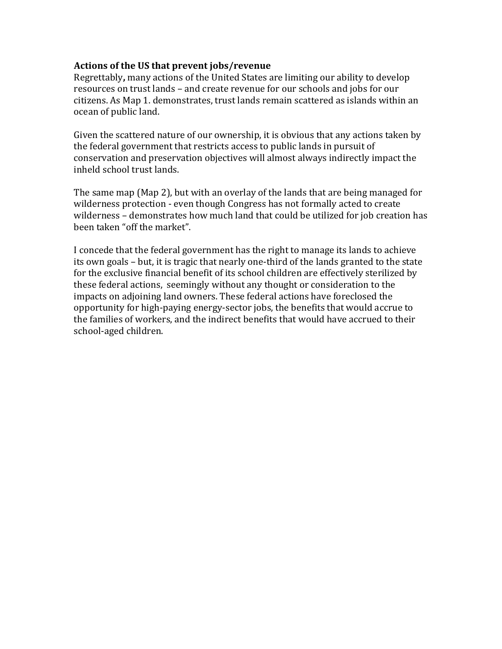#### Actions of the US that prevent jobs/revenue

Regrettably, many actions of the United States are limiting our ability to develop resources on trust lands – and create revenue for our schools and jobs for our citizens. As Map 1. demonstrates, trust lands remain scattered as islands within an ocean of public land.

Given the scattered nature of our ownership, it is obvious that any actions taken by the federal government that restricts access to public lands in pursuit of conservation and preservation objectives will almost always indirectly impact the inheld school trust lands.

The same map (Map 2), but with an overlay of the lands that are being managed for wilderness protection - even though Congress has not formally acted to create wilderness – demonstrates how much land that could be utilized for job creation has been taken "off the market".

I concede that the federal government has the right to manage its lands to achieve its own goals – but, it is tragic that nearly one-third of the lands granted to the state for the exclusive financial benefit of its school children are effectively sterilized by these federal actions, seemingly without any thought or consideration to the impacts on adjoining land owners. These federal actions have foreclosed the opportunity for high-paying energy-sector jobs, the benefits that would accrue to the families of workers, and the indirect benefits that would have accrued to their school-aged children.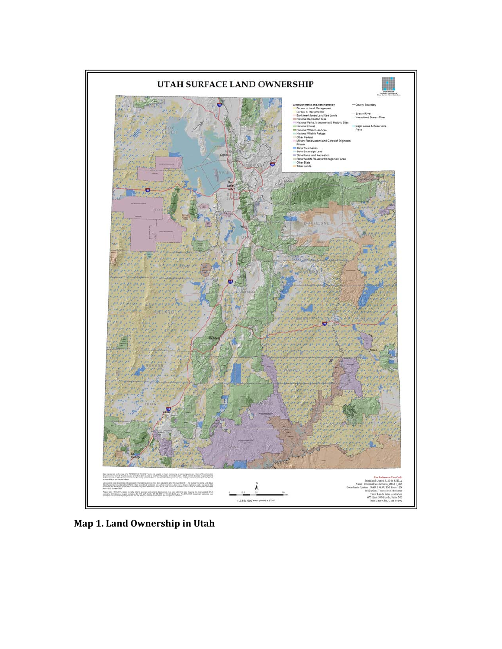

**Map 1. Land Ownership in Utah**